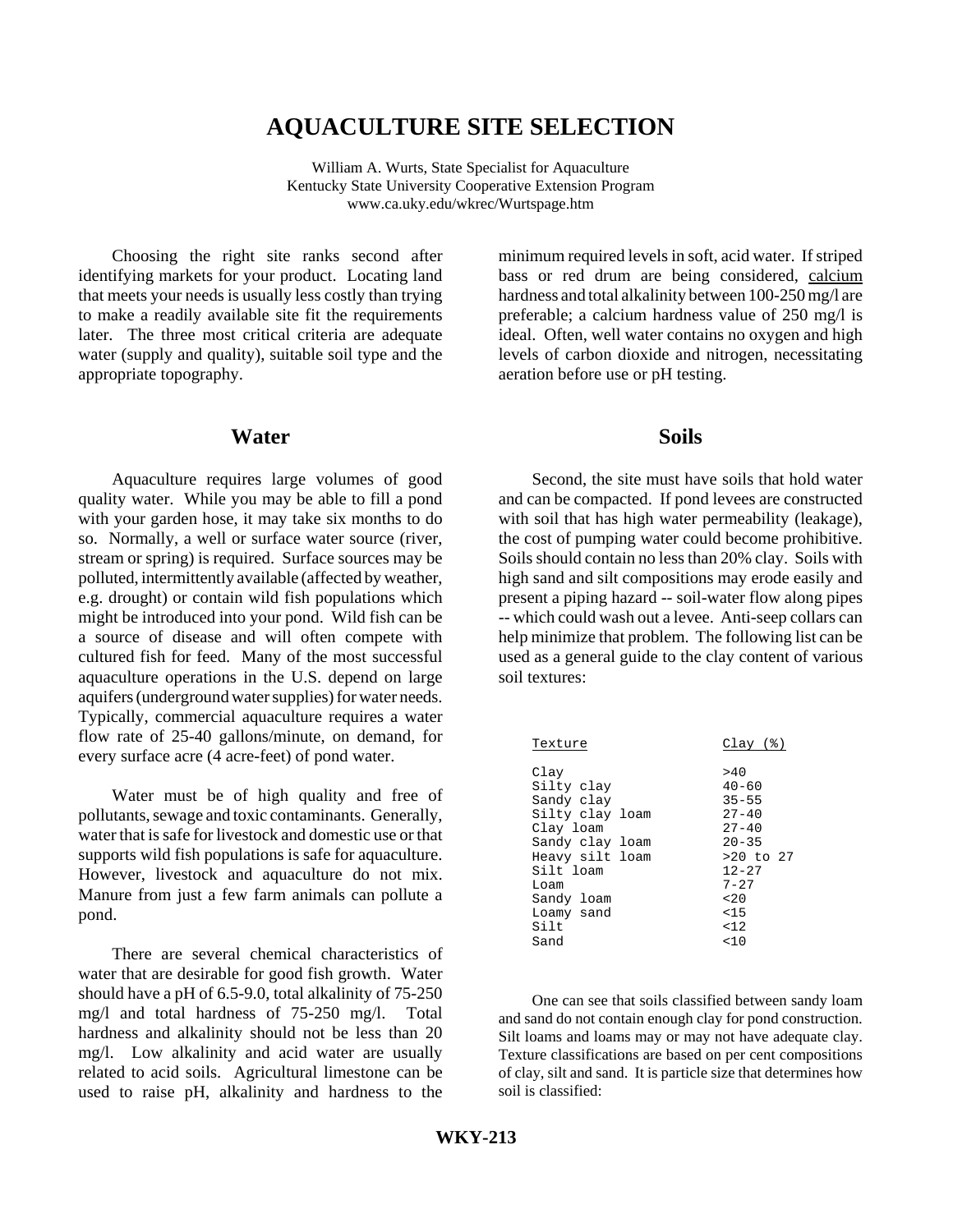# **AQUACULTURE SITE SELECTION**

William A. Wurts, State Specialist for Aquaculture Kentucky State University Cooperative Extension Program www.ca.uky.edu/wkrec/Wurtspage.htm

Choosing the right site ranks second after identifying markets for your product. Locating land that meets your needs is usually less costly than trying to make a readily available site fit the requirements later. The three most critical criteria are adequate water (supply and quality), suitable soil type and the appropriate topography.

#### **Water**

Aquaculture requires large volumes of good quality water. While you may be able to fill a pond with your garden hose, it may take six months to do so. Normally, a well or surface water source (river, stream or spring) is required. Surface sources may be polluted, intermittently available (affected by weather, e.g. drought) or contain wild fish populations which might be introduced into your pond. Wild fish can be a source of disease and will often compete with cultured fish for feed. Many of the most successful aquaculture operations in the U.S. depend on large aquifers (underground water supplies) for water needs. Typically, commercial aquaculture requires a water flow rate of 25-40 gallons/minute, on demand, for every surface acre (4 acre-feet) of pond water.

Water must be of high quality and free of pollutants, sewage and toxic contaminants. Generally, water that is safe for livestock and domestic use or that supports wild fish populations is safe for aquaculture. However, livestock and aquaculture do not mix. Manure from just a few farm animals can pollute a pond.

There are several chemical characteristics of water that are desirable for good fish growth. Water should have a pH of 6.5-9.0, total alkalinity of 75-250 mg/l and total hardness of 75-250 mg/l. Total hardness and alkalinity should not be less than 20 mg/l. Low alkalinity and acid water are usually related to acid soils. Agricultural limestone can be used to raise pH, alkalinity and hardness to the minimum required levels in soft, acid water. If striped bass or red drum are being considered, calcium hardness and total alkalinity between 100-250 mg/l are preferable; a calcium hardness value of 250 mg/l is ideal. Often, well water contains no oxygen and high levels of carbon dioxide and nitrogen, necessitating aeration before use or pH testing.

### **Soils**

Second, the site must have soils that hold water and can be compacted. If pond levees are constructed with soil that has high water permeability (leakage), the cost of pumping water could become prohibitive. Soils should contain no less than 20% clay. Soils with high sand and silt compositions may erode easily and present a piping hazard -- soil-water flow along pipes -- which could wash out a levee. Anti-seep collars can help minimize that problem. The following list can be used as a general guide to the clay content of various soil textures:

| Texture                                                                                                                                                 | Clay (%)                                                                                                                         |
|---------------------------------------------------------------------------------------------------------------------------------------------------------|----------------------------------------------------------------------------------------------------------------------------------|
| Clay<br>Silty clay<br>Sandy clay<br>Silty clay loam<br>Clay loam<br>Sandy clay loam<br>Heavy silt loam<br>Silt loam<br>Loam<br>Sandy loam<br>Loamy sand | >40<br>$40 - 60$<br>$35 - 55$<br>$27 - 40$<br>$27 - 40$<br>$20 - 35$<br>$>20$ to $27$<br>$12 - 27$<br>$7 - 27$<br>< 2.0<br>< 1.5 |
| Silt                                                                                                                                                    | < 12                                                                                                                             |
| Sand                                                                                                                                                    | < 10                                                                                                                             |

One can see that soils classified between sandy loam and sand do not contain enough clay for pond construction. Silt loams and loams may or may not have adequate clay. Texture classifications are based on per cent compositions of clay, silt and sand. It is particle size that determines how soil is classified: